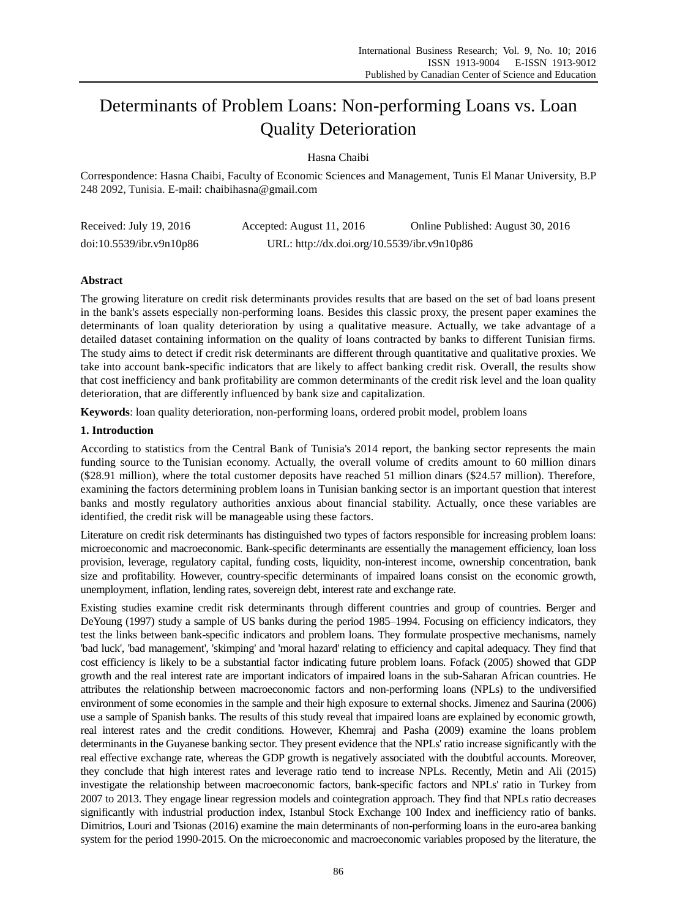# Determinants of Problem Loans: Non-performing Loans vs. Loan Quality Deterioration

# Hasna Chaibi

Correspondence: Hasna Chaibi, Faculty of Economic Sciences and Management, Tunis El Manar University, B.P 248 2092, Tunisia. E-mail: chaibihasna@gmail.com

| Received: July 19, 2016  | Accepted: August 11, 2016                   | Online Published: August 30, 2016 |
|--------------------------|---------------------------------------------|-----------------------------------|
| doi:10.5539/ibr.v9n10p86 | URL: http://dx.doi.org/10.5539/ibr.v9n10p86 |                                   |

# **Abstract**

The growing literature on credit risk determinants provides results that are based on the set of bad loans present in the bank's assets especially non-performing loans. Besides this classic proxy, the present paper examines the determinants of loan quality deterioration by using a qualitative measure. Actually, we take advantage of a detailed dataset containing information on the quality of loans contracted by banks to different Tunisian firms. The study aims to detect if credit risk determinants are different through quantitative and qualitative proxies. We take into account bank-specific indicators that are likely to affect banking credit risk. Overall, the results show that cost inefficiency and bank profitability are common determinants of the credit risk level and the loan quality deterioration, that are differently influenced by bank size and capitalization.

**Keywords**: loan quality deterioration, non-performing loans, ordered probit model, problem loans

# **1. Introduction**

According to statistics from the Central Bank of Tunisia's 2014 report, the banking sector represents the main funding source to the [Tunisian economy.](http://www.al-monitor.com/pulse/business/2013/10/tunisia-economy-crisis-government-change.html) Actually, the overall volume of credits amount to 60 million dinars (\$28.91 million), where the total customer deposits have reached 51 million dinars (\$24.57 million). Therefore, examining the factors determining problem loans in Tunisian banking sector is an important question that interest banks and mostly regulatory authorities anxious about financial stability. Actually, once these variables are identified, the credit risk will be manageable using these factors.

Literature on credit risk determinants has distinguished two types of factors responsible for increasing problem loans: microeconomic and macroeconomic. Bank-specific determinants are essentially the management efficiency, loan loss provision, leverage, regulatory capital, funding costs, liquidity, non-interest income, ownership concentration, bank size and profitability. However, country-specific determinants of impaired loans consist on the economic growth, unemployment, inflation, lending rates, sovereign debt, interest rate and exchange rate.

Existing studies examine credit risk determinants through different countries and group of countries. Berger and DeYoung (1997) study a sample of US banks during the period 1985–1994. Focusing on efficiency indicators, they test the links between bank-specific indicators and problem loans. They formulate prospective mechanisms, namely 'bad luck', 'bad management', 'skimping' and 'moral hazard' relating to efficiency and capital adequacy. They find that cost efficiency is likely to be a substantial factor indicating future problem loans. Fofack (2005) showed that GDP growth and the real interest rate are important indicators of impaired loans in the sub-Saharan African countries. He attributes the relationship between macroeconomic factors and non-performing loans (NPLs) to the undiversified environment of some economies in the sample and their high exposure to external shocks. Jimenez and Saurina (2006) use a sample of Spanish banks. The results of this study reveal that impaired loans are explained by economic growth, real interest rates and the credit conditions. However, Khemraj and Pasha (2009) examine the loans problem determinants in the Guyanese banking sector. They present evidence that the NPLs' ratio increase significantly with the real effective exchange rate, whereas the GDP growth is negatively associated with the doubtful accounts. Moreover, they conclude that high interest rates and leverage ratio tend to increase NPLs. Recently, Metin and Ali (2015) investigate the relationship between macroeconomic factors, bank-specific factors and NPLs' ratio in Turkey from 2007 to 2013. They engage linear regression models and cointegration approach. They find that NPLs ratio decreases significantly with industrial production index, Istanbul Stock Exchange 100 Index and inefficiency ratio of banks. [Dimitrios, Louri and Tsionas](http://www.sciencedirect.com/science/article/pii/S1544612316300538) (2016) examine the main determinants of non-performing loans in the euro-area banking system for the period 1990-2015. On the microeconomic and macroeconomic variables proposed by the literature, the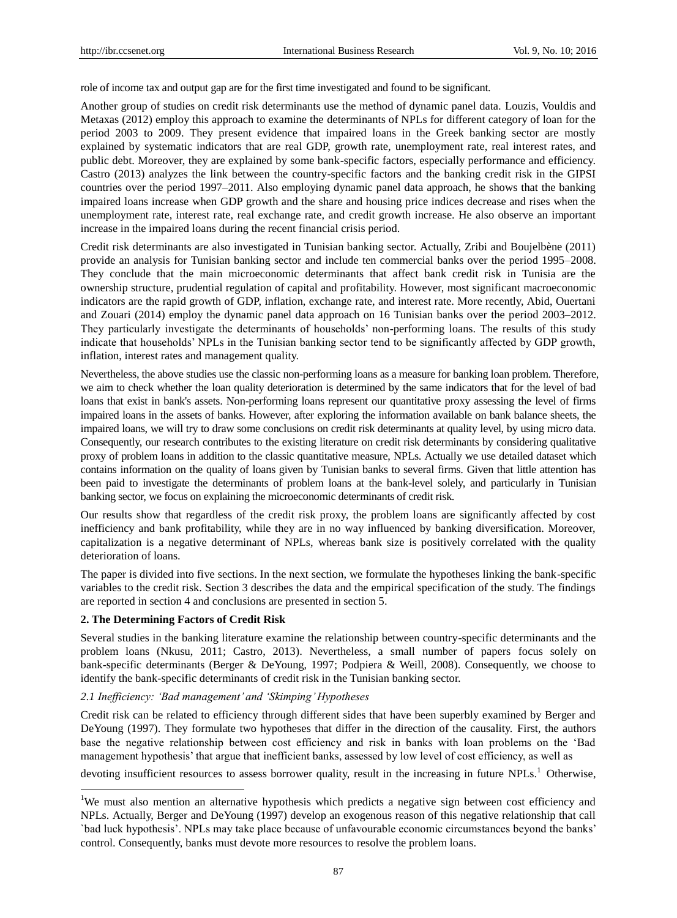role of income tax and output gap are for the first time investigated and found to be significant.

Another group of studies on credit risk determinants use the method of dynamic panel data. Louzis, Vouldis and Metaxas (2012) employ this approach to examine the determinants of NPLs for different category of loan for the period 2003 to 2009. They present evidence that impaired loans in the Greek banking sector are mostly explained by systematic indicators that are real GDP, growth rate, unemployment rate, real interest rates, and public debt. Moreover, they are explained by some bank-specific factors, especially performance and efficiency. Castro (2013) analyzes the link between the country-specific factors and the banking credit risk in the GIPSI countries over the period 1997–2011. Also employing dynamic panel data approach, he shows that the banking impaired loans increase when GDP growth and the share and housing price indices decrease and rises when the unemployment rate, interest rate, real exchange rate, and credit growth increase. He also observe an important increase in the impaired loans during the recent financial crisis period.

Credit risk determinants are also investigated in Tunisian banking sector. Actually, Zribi and Boujelbène (2011) provide an analysis for Tunisian banking sector and include ten commercial banks over the period 1995–2008. They conclude that the main microeconomic determinants that affect bank credit risk in Tunisia are the ownership structure, prudential regulation of capital and profitability. However, most significant macroeconomic indicators are the rapid growth of GDP, inflation, exchange rate, and interest rate. More recently, Abid, Ouertani and Zouari (2014) employ the dynamic panel data approach on 16 Tunisian banks over the period 2003–2012. They particularly investigate the determinants of households" non-performing loans. The results of this study indicate that households" NPLs in the Tunisian banking sector tend to be significantly affected by GDP growth, inflation, interest rates and management quality.

Nevertheless, the above studies use the classic non-performing loans as a measure for banking loan problem. Therefore, we aim to check whether the loan quality deterioration is determined by the same indicators that for the level of bad loans that exist in bank's assets. Non-performing loans represent our quantitative proxy assessing the level of firms impaired loans in the assets of banks. However, after exploring the information available on bank balance sheets, the impaired loans, we will try to draw some conclusions on credit risk determinants at quality level, by using micro data. Consequently, our research contributes to the existing literature on credit risk determinants by considering qualitative proxy of problem loans in addition to the classic quantitative measure, NPLs. Actually we use detailed dataset which contains information on the quality of loans given by Tunisian banks to several firms. Given that little attention has been paid to investigate the determinants of problem loans at the bank-level solely, and particularly in Tunisian banking sector, we focus on explaining the microeconomic determinants of credit risk.

Our results show that regardless of the credit risk proxy, the problem loans are significantly affected by cost inefficiency and bank profitability, while they are in no way influenced by banking diversification. Moreover, capitalization is a negative determinant of NPLs, whereas bank size is positively correlated with the quality deterioration of loans.

The paper is divided into five sections. In the next section, we formulate the hypotheses linking the bank-specific variables to the credit risk. Section 3 describes the data and the empirical specification of the study. The findings are reported in section 4 and conclusions are presented in section 5.

## **2. The Determining Factors of Credit Risk**

l

Several studies in the banking literature examine the relationship between country-specific determinants and the problem loans (Nkusu, 2011; Castro, 2013). Nevertheless, a small number of papers focus solely on bank-specific determinants (Berger & DeYoung, 1997; Podpiera & Weill, 2008). Consequently, we choose to identify the bank-specific determinants of credit risk in the Tunisian banking sector.

#### *2.1 Inefficiency: 'Bad management' and 'Skimping' Hypotheses*

Credit risk can be related to efficiency through different sides that have been superbly examined by Berger and DeYoung (1997). They formulate two hypotheses that differ in the direction of the causality. First, the authors base the negative relationship between cost efficiency and risk in banks with loan problems on the "Bad management hypothesis' that argue that inefficient banks, assessed by low level of cost efficiency, as well as

devoting insufficient resources to assess borrower quality, result in the increasing in future NPLs.<sup>1</sup> Otherwise,

<sup>&</sup>lt;sup>1</sup>We must also mention an alternative hypothesis which predicts a negative sign between cost efficiency and NPLs. Actually, Berger and DeYoung (1997) develop an exogenous reason of this negative relationship that call `bad luck hypothesis". NPLs may take place because of unfavourable economic circumstances beyond the banks" control. Consequently, banks must devote more resources to resolve the problem loans.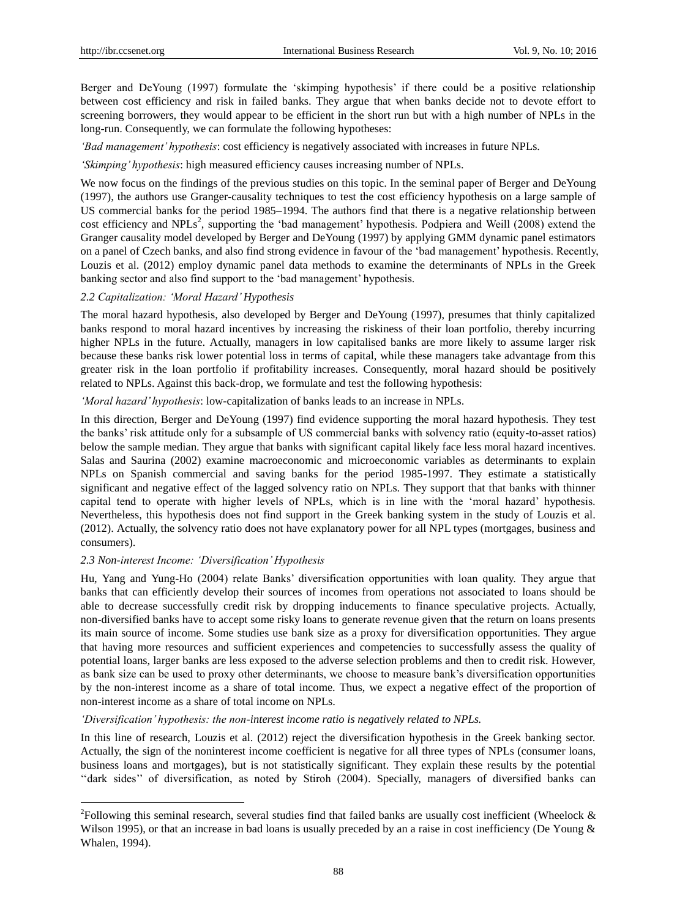Berger and DeYoung (1997) formulate the 'skimping hypothesis' if there could be a positive relationship between cost efficiency and risk in failed banks. They argue that when banks decide not to devote effort to screening borrowers, they would appear to be efficient in the short run but with a high number of NPLs in the long-run. Consequently, we can formulate the following hypotheses:

*'Bad management' hypothesis*: cost efficiency is negatively associated with increases in future NPLs.

*'Skimping' hypothesis*: high measured efficiency causes increasing number of NPLs.

We now focus on the findings of the previous studies on this topic. In the seminal paper of Berger and DeYoung (1997), the authors use Granger-causality techniques to test the cost efficiency hypothesis on a large sample of US commercial banks for the period 1985–1994. The authors find that there is a negative relationship between cost efficiency and NPLs<sup>2</sup>, supporting the 'bad management' hypothesis. Podpiera and Weill (2008) extend the Granger causality model developed by Berger and DeYoung (1997) by applying GMM dynamic panel estimators on a panel of Czech banks, and also find strong evidence in favour of the "bad management" hypothesis. Recently, Louzis et al. (2012) employ dynamic panel data methods to examine the determinants of NPLs in the Greek banking sector and also find support to the "bad management" hypothesis.

#### *2.2 Capitalization: 'Moral Hazard' Hypothesis*

The moral hazard hypothesis, also developed by Berger and DeYoung (1997), presumes that thinly capitalized banks respond to moral hazard incentives by increasing the riskiness of their loan portfolio, thereby incurring higher NPLs in the future. Actually, managers in low capitalised banks are more likely to assume larger risk because these banks risk lower potential loss in terms of capital, while these managers take advantage from this greater risk in the loan portfolio if profitability increases. Consequently, moral hazard should be positively related to NPLs. Against this back-drop, we formulate and test the following hypothesis:

*'Moral hazard' hypothesis*: low-capitalization of banks leads to an increase in NPLs.

In this direction, Berger and DeYoung (1997) find evidence supporting the moral hazard hypothesis. They test the banks" risk attitude only for a subsample of US commercial banks with solvency ratio (equity-to-asset ratios) below the sample median. They argue that banks with significant capital likely face less moral hazard incentives. Salas and Saurina (2002) examine macroeconomic and microeconomic variables as determinants to explain NPLs on Spanish commercial and saving banks for the period 1985-1997. They estimate a statistically significant and negative effect of the lagged solvency ratio on NPLs. They support that that banks with thinner capital tend to operate with higher levels of NPLs, which is in line with the "moral hazard" hypothesis. Nevertheless, this hypothesis does not find support in the Greek banking system in the study of Louzis et al. (2012). Actually, the solvency ratio does not have explanatory power for all NPL types (mortgages, business and consumers).

#### *2.3 Non-interest Income: 'Diversification' Hypothesis*

l

Hu, Yang and Yung-Ho (2004) relate Banks" diversification opportunities with loan quality. They argue that banks that can efficiently develop their sources of incomes from operations not associated to loans should be able to decrease successfully credit risk by dropping inducements to finance speculative projects. Actually, non-diversified banks have to accept some risky loans to generate revenue given that the return on loans presents its main source of income. Some studies use bank size as a proxy for diversification opportunities. They argue that having more resources and sufficient experiences and competencies to successfully assess the quality of potential loans, larger banks are less exposed to the adverse selection problems and then to credit risk. However, as bank size can be used to proxy other determinants, we choose to measure bank"s diversification opportunities by the non-interest income as a share of total income. Thus, we expect a negative effect of the proportion of non-interest income as a share of total income on NPLs.

#### *'Diversification' hypothesis: the non-interest income ratio is negatively related to NPLs.*

In this line of research, Louzis et al. (2012) reject the diversification hypothesis in the Greek banking sector. Actually, the sign of the noninterest income coefficient is negative for all three types of NPLs (consumer loans, business loans and mortgages), but is not statistically significant. They explain these results by the potential ""dark sides"" of diversification, as noted by Stiroh (2004). Specially, managers of diversified banks can

<sup>&</sup>lt;sup>2</sup>Following this seminal research, several studies find that failed banks are usually cost inefficient (Wheelock  $\&$ Wilson 1995), or that an increase in bad loans is usually preceded by an a raise in cost inefficiency (De Young  $\&$ Whalen, 1994).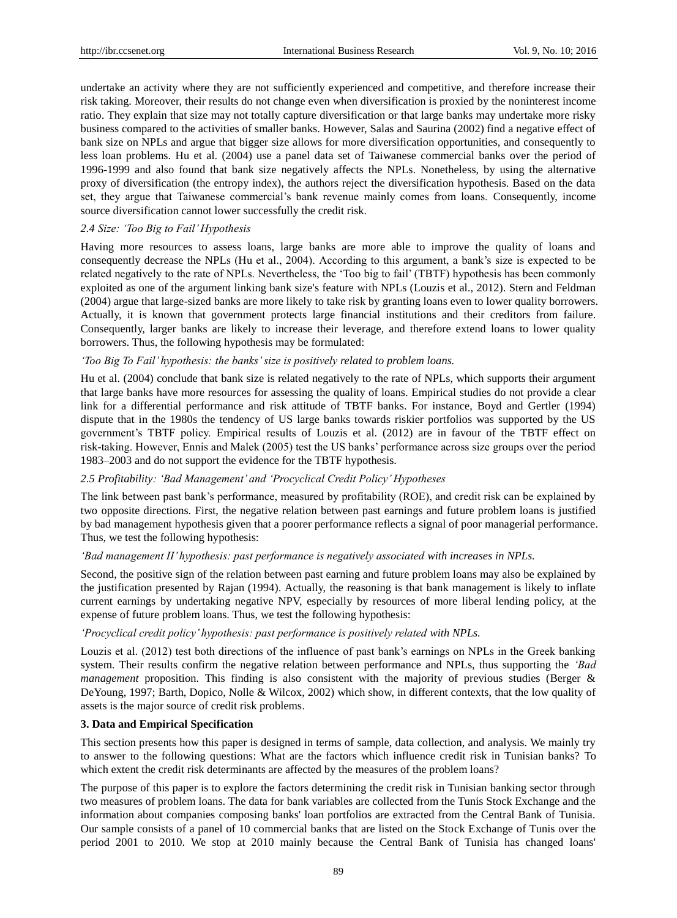undertake an activity where they are not sufficiently experienced and competitive, and therefore increase their risk taking. Moreover, their results do not change even when diversification is proxied by the noninterest income ratio. They explain that size may not totally capture diversification or that large banks may undertake more risky business compared to the activities of smaller banks. However, Salas and Saurina (2002) find a negative effect of bank size on NPLs and argue that bigger size allows for more diversification opportunities, and consequently to less loan problems. Hu et al. (2004) use a panel data set of Taiwanese commercial banks over the period of 1996-1999 and also found that bank size negatively affects the NPLs. Nonetheless, by using the alternative proxy of diversification (the entropy index), the authors reject the diversification hypothesis. Based on the data set, they argue that Taiwanese commercial's bank revenue mainly comes from loans. Consequently, income source diversification cannot lower successfully the credit risk.

#### *2.4 Size: 'Too Big to Fail' Hypothesis*

Having more resources to assess loans, large banks are more able to improve the quality of loans and consequently decrease the NPLs (Hu et al., 2004). According to this argument, a bank's size is expected to be related negatively to the rate of NPLs. Nevertheless, the "Too big to fail" (TBTF) hypothesis has been commonly exploited as one of the argument linking bank size's feature with NPLs (Louzis et al., 2012). Stern and Feldman (2004) argue that large-sized banks are more likely to take risk by granting loans even to lower quality borrowers. Actually, it is known that government protects large financial institutions and their creditors from failure. Consequently, larger banks are likely to increase their leverage, and therefore extend loans to lower quality borrowers. Thus, the following hypothesis may be formulated:

#### *'Too Big To Fail' hypothesis: the banks' size is positively related to problem loans.*

Hu et al. (2004) conclude that bank size is related negatively to the rate of NPLs, which supports their argument that large banks have more resources for assessing the quality of loans. Empirical studies do not provide a clear link for a differential performance and risk attitude of TBTF banks. For instance, Boyd and Gertler (1994) dispute that in the 1980s the tendency of US large banks towards riskier portfolios was supported by the US government"s TBTF policy. Empirical results of Louzis et al. (2012) are in favour of the TBTF effect on risk-taking. However, Ennis and Malek (2005) test the US banks" performance across size groups over the period 1983–2003 and do not support the evidence for the TBTF hypothesis.

#### *2.5 Profitability: 'Bad Management' and 'Procyclical Credit Policy' Hypotheses*

The link between past bank"s performance, measured by profitability (ROE), and credit risk can be explained by two opposite directions. First, the negative relation between past earnings and future problem loans is justified by bad management hypothesis given that a poorer performance reflects a signal of poor managerial performance. Thus, we test the following hypothesis:

## *'Bad management II' hypothesis: past performance is negatively associated with increases in NPLs.*

Second, the positive sign of the relation between past earning and future problem loans may also be explained by the justification presented by Rajan (1994). Actually, the reasoning is that bank management is likely to inflate current earnings by undertaking negative NPV, especially by resources of more liberal lending policy, at the expense of future problem loans. Thus, we test the following hypothesis:

#### *'Procyclical credit policy' hypothesis: past performance is positively related with NPLs.*

Louzis et al. (2012) test both directions of the influence of past bank's earnings on NPLs in the Greek banking system. Their results confirm the negative relation between performance and NPLs, thus supporting the *'Bad management* proposition. This finding is also consistent with the majority of previous studies (Berger & DeYoung, 1997; Barth, Dopico, Nolle & Wilcox, 2002) which show, in different contexts, that the low quality of assets is the major source of credit risk problems.

#### **3. Data and Empirical Specification**

This section presents how this paper is designed in terms of sample, data collection, and analysis. We mainly try to answer to the following questions: What are the factors which influence credit risk in Tunisian banks? To which extent the credit risk determinants are affected by the measures of the problem loans?

The purpose of this paper is to explore the factors determining the credit risk in Tunisian banking sector through two measures of problem loans. The data for bank variables are collected from the Tunis Stock Exchange and the information about companies composing banks' loan portfolios are extracted from the Central Bank of Tunisia. Our sample consists of a panel of 10 commercial banks that are listed on the Stock Exchange of Tunis over the period 2001 to 2010. We stop at 2010 mainly because the Central Bank of Tunisia has changed loans'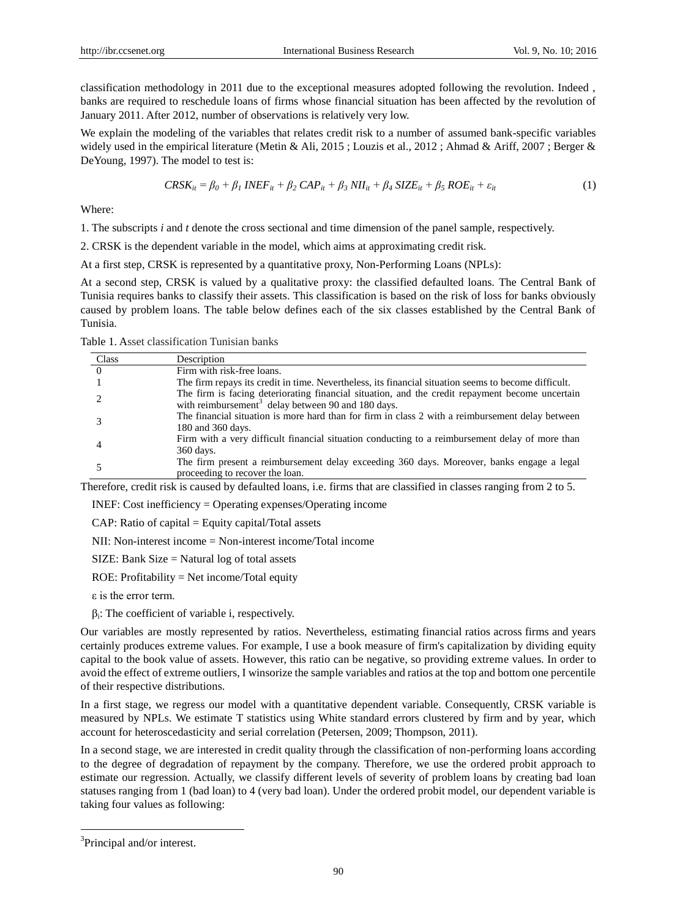classification methodology in 2011 due to the exceptional measures adopted following the revolution. Indeed , banks are required to reschedule loans of firms whose financial situation has been affected by the revolution of January 2011. After 2012, number of observations is relatively very low.

We explain the modeling of the variables that relates credit risk to a number of assumed bank-specific variables widely used in the empirical literature (Metin & Ali, 2015; Louzis et al., 2012; Ahmad & Ariff, 2007; Berger & DeYoung, 1997). The model to test is:

$$
CRSK_{it} = \beta_0 + \beta_1 INEF_{it} + \beta_2 CAP_{it} + \beta_3 NII_{it} + \beta_4 SIZE_{it} + \beta_5 ROE_{it} + \varepsilon_{it}
$$
(1)

Where:

1. The subscripts *i* and *t* denote the cross sectional and time dimension of the panel sample, respectively.

2. CRSK is the dependent variable in the model, which aims at approximating credit risk.

At a first step, CRSK is represented by a quantitative proxy, Non-Performing Loans (NPLs):

At a second step, CRSK is valued by a qualitative proxy: the classified defaulted loans. The Central Bank of Tunisia requires banks to classify their assets. This classification is based on the risk of loss for banks obviously caused by problem loans. The table below defines each of the six classes established by the Central Bank of Tunisia.

Table 1. Asset classification Tunisian banks

| Class          | Description                                                                                                                                                       |
|----------------|-------------------------------------------------------------------------------------------------------------------------------------------------------------------|
| $\overline{0}$ | Firm with risk-free loans.                                                                                                                                        |
|                | The firm repays its credit in time. Nevertheless, its financial situation seems to become difficult.                                                              |
|                | The firm is facing deteriorating financial situation, and the credit repayment become uncertain<br>with reimbursement <sup>3</sup> delay between 90 and 180 days. |
|                | The financial situation is more hard than for firm in class 2 with a reimbursement delay between<br>180 and 360 days.                                             |
|                | Firm with a very difficult financial situation conducting to a reimbursement delay of more than<br>360 days.                                                      |
|                | The firm present a reimbursement delay exceeding 360 days. Moreover, banks engage a legal<br>proceeding to recover the loan.                                      |

Therefore, credit risk is caused by defaulted loans, i.e. firms that are classified in classes ranging from 2 to 5.

INEF: Cost inefficiency = Operating expenses/Operating income

 $CAP: Ratio of capital = Equity capital/Total assets$ 

NII: Non-interest income = Non-interest income/Total income

SIZE: Bank Size = Natural log of total assets

ROE: Profitability = Net income/Total equity

ε is the error term.

 $\beta_i$ : The coefficient of variable i, respectively.

Our variables are mostly represented by ratios. Nevertheless, estimating financial ratios across firms and years certainly produces extreme values. For example, I use a book measure of firm's capitalization by dividing equity capital to the book value of assets. However, this ratio can be negative, so providing extreme values. In order to avoid the effect of extreme outliers, I winsorize the sample variables and ratios at the top and bottom one percentile of their respective distributions.

In a first stage, we regress our model with a quantitative dependent variable. Consequently, CRSK variable is measured by NPLs. We estimate T statistics using White standard errors clustered by firm and by year, which account for heteroscedasticity and serial correlation (Petersen, 2009; Thompson, 2011).

In a second stage, we are interested in credit quality through the classification of non-performing loans according to the degree of degradation of repayment by the company. Therefore, we use the ordered probit approach to estimate our regression. Actually, we classify different levels of severity of problem loans by creating bad loan statuses ranging from 1 (bad loan) to 4 (very bad loan). Under the ordered probit model, our dependent variable is taking four values as following:

l

<sup>&</sup>lt;sup>3</sup>Principal and/or interest.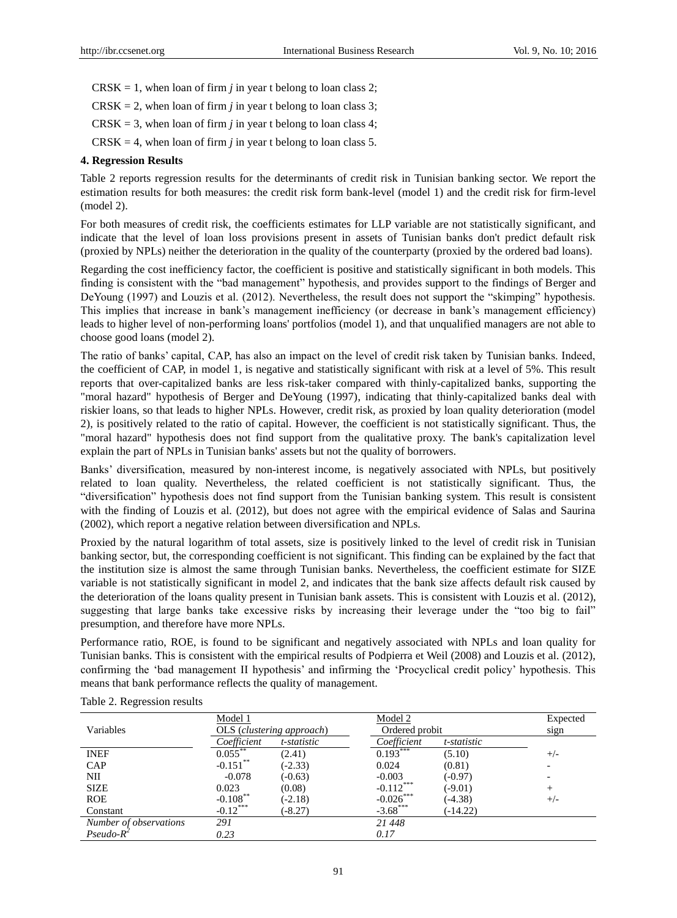- $CRSK = 1$ , when loan of firm *j* in year t belong to loan class 2;
- $CRSK = 2$ , when loan of firm *j* in year t belong to loan class 3;
- $CRSK = 3$ , when loan of firm *j* in year t belong to loan class 4;
- $CRSK = 4$ , when loan of firm *j* in year t belong to loan class 5.

#### **4. Regression Results**

Table 2 reports regression results for the determinants of credit risk in Tunisian banking sector. We report the estimation results for both measures: the credit risk form bank-level (model 1) and the credit risk for firm-level (model 2).

For both measures of credit risk, the coefficients estimates for LLP variable are not statistically significant, and indicate that the level of loan loss provisions present in assets of Tunisian banks don't predict default risk (proxied by NPLs) neither the deterioration in the quality of the counterparty (proxied by the ordered bad loans).

Regarding the cost inefficiency factor, the coefficient is positive and statistically significant in both models. This finding is consistent with the "bad management" hypothesis, and provides support to the findings of Berger and DeYoung (1997) and Louzis et al. (2012). Nevertheless, the result does not support the "skimping" hypothesis. This implies that increase in bank"s management inefficiency (or decrease in bank"s management efficiency) leads to higher level of non-performing loans' portfolios (model 1), and that unqualified managers are not able to choose good loans (model 2).

The ratio of banks" capital, CAP, has also an impact on the level of credit risk taken by Tunisian banks. Indeed, the coefficient of CAP, in model 1, is negative and statistically significant with risk at a level of 5%. This result reports that over-capitalized banks are less risk-taker compared with thinly-capitalized banks, supporting the "moral hazard" hypothesis of Berger and DeYoung (1997), indicating that thinly-capitalized banks deal with riskier loans, so that leads to higher NPLs. However, credit risk, as proxied by loan quality deterioration (model 2), is positively related to the ratio of capital. However, the coefficient is not statistically significant. Thus, the "moral hazard" hypothesis does not find support from the qualitative proxy. The bank's capitalization level explain the part of NPLs in Tunisian banks' assets but not the quality of borrowers.

Banks" diversification, measured by non-interest income, is negatively associated with NPLs, but positively related to loan quality. Nevertheless, the related coefficient is not statistically significant. Thus, the "diversification" hypothesis does not find support from the Tunisian banking system. This result is consistent with the finding of Louzis et al. (2012), but does not agree with the empirical evidence of Salas and Saurina (2002), which report a negative relation between diversification and NPLs.

Proxied by the natural logarithm of total assets, size is positively linked to the level of credit risk in Tunisian banking sector, but, the corresponding coefficient is not significant. This finding can be explained by the fact that the institution size is almost the same through Tunisian banks. Nevertheless, the coefficient estimate for SIZE variable is not statistically significant in model 2, and indicates that the bank size affects default risk caused by the deterioration of the loans quality present in Tunisian bank assets. This is consistent with Louzis et al. (2012), suggesting that large banks take excessive risks by increasing their leverage under the "too big to fail" presumption, and therefore have more NPLs.

Performance ratio, ROE, is found to be significant and negatively associated with NPLs and loan quality for Tunisian banks. This is consistent with the empirical results of Podpierra et Weil (2008) and Louzis et al. (2012), confirming the "bad management II hypothesis" and infirming the "Procyclical credit policy" hypothesis. This means that bank performance reflects the quality of management.

|                        | Model 1     |                           | Model 2        |             | Expected |
|------------------------|-------------|---------------------------|----------------|-------------|----------|
| Variables              |             | OLS (clustering approach) | Ordered probit |             | sign     |
|                        | Coefficient | t-statistic               | Coefficient    | t-statistic |          |
| <b>INEF</b>            | $0.055$ **  | (2.41)                    | $0.193***$     | (5.10)      | $+/-$    |
| CAP                    | $-0.151$ ** | $(-2.33)$                 | 0.024          | (0.81)      |          |
| NII                    | $-0.078$    | $(-0.63)$                 | $-0.003$       | $(-0.97)$   |          |
| <b>SIZE</b>            | 0.023       | (0.08)                    | $-0.112***$    | $(-9.01)$   |          |
| <b>ROE</b>             | $-0.108***$ | $(-2.18)$                 | $-0.026***$    | $(-4.38)$   | $+/-$    |
| Constant               | $-0.12***$  | $(-8.27)$                 | $-3.68***$     | $(-14.22)$  |          |
| Number of observations | 291         |                           | 21 448         |             |          |
| $Pseudo-R^2$           | 0.23        |                           | 0.17           |             |          |

|  | Table 2. Regression results |  |
|--|-----------------------------|--|
|--|-----------------------------|--|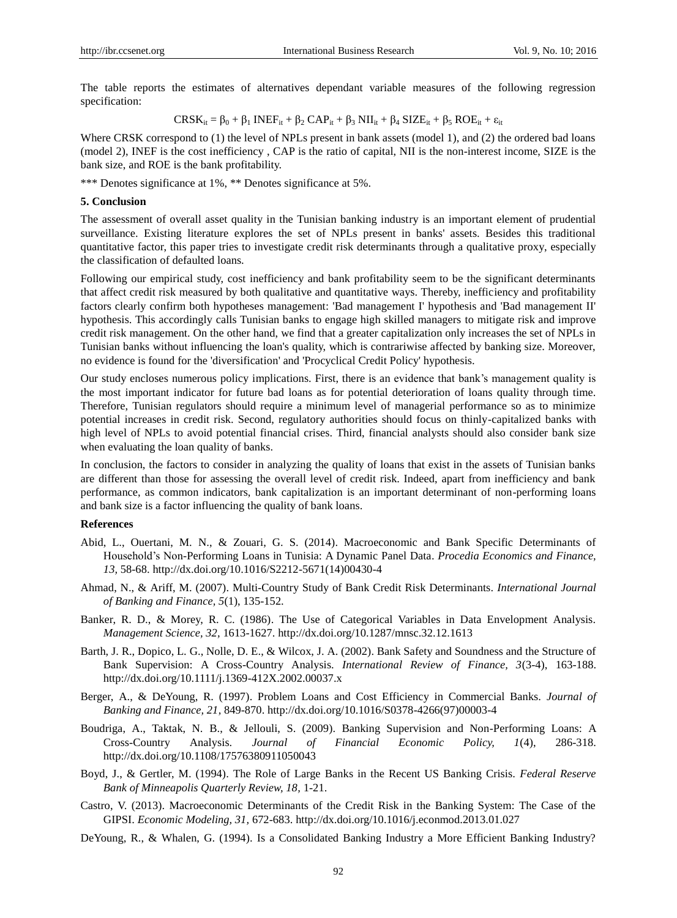The table reports the estimates of alternatives dependant variable measures of the following regression specification:

$$
CRSK_{it} = \beta_0 + \beta_1 INEF_{it} + \beta_2 CAP_{it} + \beta_3 NII_{it} + \beta_4 SIZE_{it} + \beta_5 ROE_{it} + \epsilon_{it}
$$

Where CRSK correspond to (1) the level of NPLs present in bank assets (model 1), and (2) the ordered bad loans (model 2), INEF is the cost inefficiency , CAP is the ratio of capital, NII is the non-interest income, SIZE is the bank size, and ROE is the bank profitability.

\*\*\* Denotes significance at 1%, \*\* Denotes significance at 5%.

### **5. Conclusion**

The assessment of overall asset quality in the Tunisian banking industry is an important element of prudential surveillance. Existing literature explores the set of NPLs present in banks' assets. Besides this traditional quantitative factor, this paper tries to investigate credit risk determinants through a qualitative proxy, especially the classification of defaulted loans.

Following our empirical study, cost inefficiency and bank profitability seem to be the significant determinants that affect credit risk measured by both qualitative and quantitative ways. Thereby, inefficiency and profitability factors clearly confirm both hypotheses management: 'Bad management I' hypothesis and 'Bad management II' hypothesis. This accordingly calls Tunisian banks to engage high skilled managers to mitigate risk and improve credit risk management. On the other hand, we find that a greater capitalization only increases the set of NPLs in Tunisian banks without influencing the loan's quality, which is contrariwise affected by banking size. Moreover, no evidence is found for the 'diversification' and 'Procyclical Credit Policy' hypothesis.

Our study encloses numerous policy implications. First, there is an evidence that bank"s management quality is the most important indicator for future bad loans as for potential deterioration of loans quality through time. Therefore, Tunisian regulators should require a minimum level of managerial performance so as to minimize potential increases in credit risk. Second, regulatory authorities should focus on thinly-capitalized banks with high level of NPLs to avoid potential financial crises. Third, financial analysts should also consider bank size when evaluating the loan quality of banks.

In conclusion, the factors to consider in analyzing the quality of loans that exist in the assets of Tunisian banks are different than those for assessing the overall level of credit risk. Indeed, apart from inefficiency and bank performance, as common indicators, bank capitalization is an important determinant of non-performing loans and bank size is a factor influencing the quality of bank loans.

## **References**

- Abid, L., Ouertani, M. N., & Zouari, G. S. (2014). Macroeconomic and Bank Specific Determinants of Household"s Non-Performing Loans in Tunisia: A Dynamic Panel Data. *Procedia Economics and Finance, 13,* 58-68. [http://dx.doi.org/10.1016/S2212-5671\(14\)00430-4](http://dx.doi.org/10.1016/S2212-5671(14)00430-4)
- Ahmad, N., & Ariff, M. (2007). Multi-Country Study of Bank Credit Risk Determinants. *International Journal of Banking and Finance, 5*(1), 135-152.
- Banker, R. D., & Morey, R. C. (1986). The Use of Categorical Variables in Data Envelopment Analysis. *Management Science, 32,* 1613-1627[. http://dx.doi.org/10.1287/mnsc.32.12.1613](http://dx.doi.org/10.1287/mnsc.32.12.1613)
- Barth, J. R., Dopico, L. G., Nolle, D. E., & Wilcox, J. A. (2002). Bank Safety and Soundness and the Structure of Bank Supervision: A Cross-Country Analysis. *International Review of Finance, 3*(3-4), 163-188. <http://dx.doi.org/10.1111/j.1369-412X.2002.00037.x>
- Berger, A., & DeYoung, R. (1997). Problem Loans and Cost Efficiency in Commercial Banks. *Journal of Banking and Finance, 21,* 849-870. [http://dx.doi.org/10.1016/S0378-4266\(97\)00003-4](http://dx.doi.org/10.1016/S0378-4266(97)00003-4)
- Boudriga, A., Taktak, N. B., & Jellouli, S. (2009). Banking Supervision and Non-Performing Loans: A Cross-Country Analysis. *Journal of Financial Economic Policy, 1*(4), 286-318. <http://dx.doi.org/10.1108/17576380911050043>
- Boyd, J., & Gertler, M. (1994). The Role of Large Banks in the Recent US Banking Crisis. *Federal Reserve Bank of Minneapolis Quarterly Review, 18,* 1-21.
- Castro, V. (2013). Macroeconomic Determinants of the Credit Risk in the Banking System: The Case of the GIPSI. *Economic Modeling, 31,* 672-683.<http://dx.doi.org/10.1016/j.econmod.2013.01.027>
- DeYoung, R., & Whalen, G. (1994). Is a Consolidated Banking Industry a More Efficient Banking Industry?